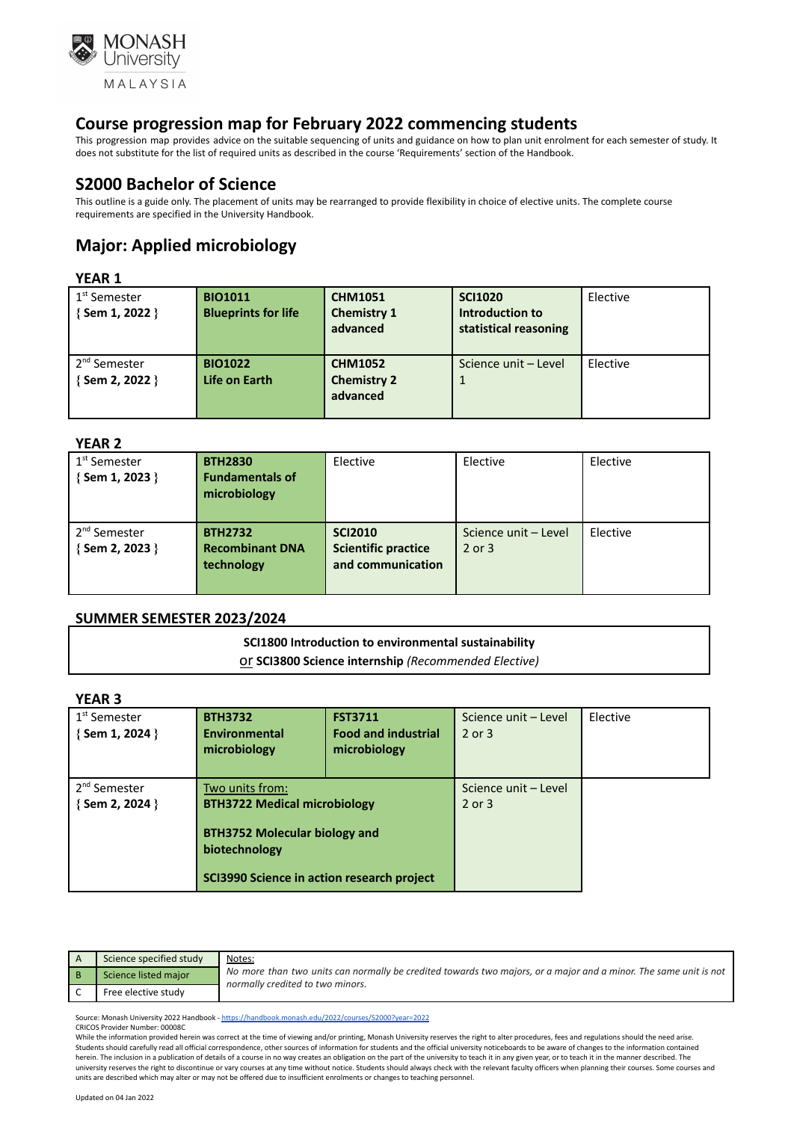

This progression map provides advice on the suitable sequencing of units and guidance on how to plan unit enrolment for each semester of study. It does not substitute for the list of required units as described in the course 'Requirements' section of the Handbook.

## **S2000 Bachelor of Science**

This outline is a guide only. The placement of units may be rearranged to provide flexibility in choice of elective units. The complete course requirements are specified in the University Handbook.

# **Major: Applied microbiology**

#### **YEAR 1**

| 1 <sup>st</sup> Semester<br>{ Sem 1, 2022 } | <b>BIO1011</b><br><b>Blueprints for life</b> | <b>CHM1051</b><br><b>Chemistry 1</b><br>advanced | <b>SCI1020</b><br>Introduction to<br>statistical reasoning | Elective |
|---------------------------------------------|----------------------------------------------|--------------------------------------------------|------------------------------------------------------------|----------|
| 2 <sup>nd</sup> Semester<br>{ Sem 2, 2022 } | <b>BIO1022</b><br>Life on Earth              | <b>CHM1052</b><br><b>Chemistry 2</b><br>advanced | Science unit - Level                                       | Elective |

#### **YEAR 2**

| 1 <sup>st</sup> Semester<br>$\{$ Sem 1, 2023 $\}$ | <b>BTH2830</b><br><b>Fundamentals of</b><br>microbiology | Elective                                                          | Elective                           | Elective |
|---------------------------------------------------|----------------------------------------------------------|-------------------------------------------------------------------|------------------------------------|----------|
| 2 <sup>nd</sup> Semester<br>{Sem 2, 2023 }        | <b>BTH2732</b><br><b>Recombinant DNA</b><br>technology   | <b>SCI2010</b><br><b>Scientific practice</b><br>and communication | Science unit - Level<br>$2$ or $3$ | Elective |

#### **SUMMER SEMESTER 2023/2024**

# **SCI1800 Introduction to environmental sustainability**

| Or SCI3800 Science internship (Recommended Elective) |  |
|------------------------------------------------------|--|
|------------------------------------------------------|--|

### **YEAR 3**

| I EAR 3                  |                                                       |                            |                      |          |
|--------------------------|-------------------------------------------------------|----------------------------|----------------------|----------|
| 1 <sup>st</sup> Semester | <b>BTH3732</b>                                        | <b>FST3711</b>             | Science unit - Level | Elective |
| {Sem 1, 2024 }           | Environmental                                         | <b>Food and industrial</b> | $2$ or $3$           |          |
|                          | microbiology                                          | microbiology               |                      |          |
|                          |                                                       |                            |                      |          |
| 2 <sup>nd</sup> Semester | Two units from:                                       |                            | Science unit - Level |          |
| {Sem 2, 2024 }           | <b>BTH3722 Medical microbiology</b>                   |                            | $2$ or $3$           |          |
|                          | <b>BTH3752 Molecular biology and</b><br>biotechnology |                            |                      |          |
|                          | SCI3990 Science in action research project            |                            |                      |          |

| Science specified study | Notes:                                                                                                                                               |
|-------------------------|------------------------------------------------------------------------------------------------------------------------------------------------------|
| Science listed major    | No more than two units can normally be credited towards two majors, or a major and a minor. The same unit is not<br>normally credited to two minors. |
| Free elective study     |                                                                                                                                                      |

Source: Monash University 2022 Handbook - <https://handbook.monash.edu/2022/courses/S2000?year=2022> CRICOS Provider Number: 00008C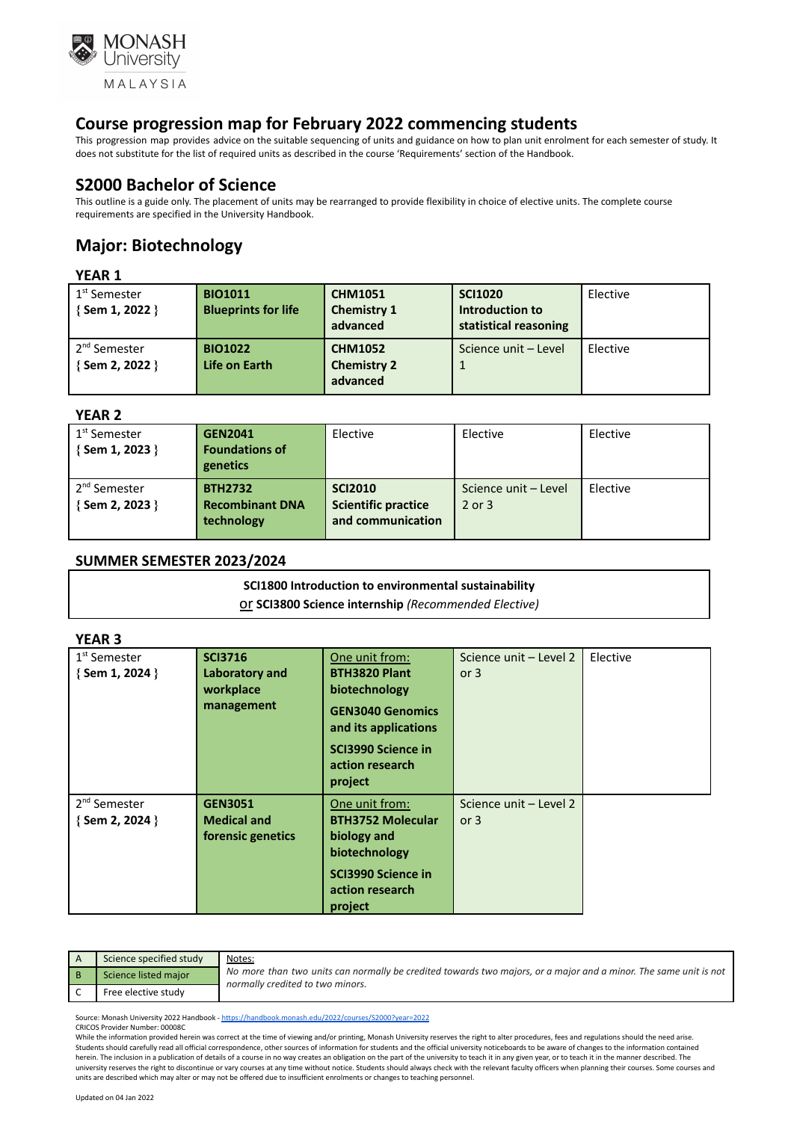

This progression map provides advice on the suitable sequencing of units and guidance on how to plan unit enrolment for each semester of study. It does not substitute for the list of required units as described in the course 'Requirements' section of the Handbook.

## **S2000 Bachelor of Science**

This outline is a guide only. The placement of units may be rearranged to provide flexibility in choice of elective units. The complete course requirements are specified in the University Handbook.

# **Major: Biotechnology**

#### **YEAR 1**

| 1 <sup>st</sup> Semester<br>$\{$ Sem 1, 2022 $\}$ | <b>BIO1011</b><br><b>Blueprints for life</b> | <b>CHM1051</b><br><b>Chemistry 1</b><br>advanced | <b>SCI1020</b><br>Introduction to<br>statistical reasoning | Elective |
|---------------------------------------------------|----------------------------------------------|--------------------------------------------------|------------------------------------------------------------|----------|
| 2 <sup>nd</sup> Semester<br>{Sem 2, 2022 }        | <b>BIO1022</b><br>Life on Earth              | <b>CHM1052</b><br><b>Chemistry 2</b><br>advanced | Science unit - Level                                       | Elective |

#### **YEAR 2**

| 1 <sup>st</sup> Semester<br>{Sem 1, 2023 }   | <b>GEN2041</b><br><b>Foundations of</b><br>genetics    | Elective                                                          | Elective                           | Elective |
|----------------------------------------------|--------------------------------------------------------|-------------------------------------------------------------------|------------------------------------|----------|
| . 2 <sup>nd</sup> Semester<br>{Sem 2, 2023 } | <b>BTH2732</b><br><b>Recombinant DNA</b><br>technology | <b>SCI2010</b><br><b>Scientific practice</b><br>and communication | Science unit - Level<br>$2$ or $3$ | Elective |

#### **SUMMER SEMESTER 2023/2024**

# **SCI1800 Introduction to environmental sustainability**

#### or **SCI3800 Science internship** *(Recommended Elective)*

#### **YEAR 3**

| 1 <sup>st</sup> Semester<br>$\{$ Sem 1, 2024 $\}$ | <b>SCI3716</b><br>Laboratory and<br>workplace<br>management | One unit from:<br><b>BTH3820 Plant</b><br>biotechnology<br><b>GEN3040 Genomics</b><br>and its applications<br>SCI3990 Science in<br>action research<br>project | Science unit - Level 2<br>or $3$ | Elective |
|---------------------------------------------------|-------------------------------------------------------------|----------------------------------------------------------------------------------------------------------------------------------------------------------------|----------------------------------|----------|
| 2 <sup>nd</sup> Semester<br>$\{$ Sem 2, 2024 $\}$ | <b>GEN3051</b><br><b>Medical and</b><br>forensic genetics   | One unit from:<br><b>BTH3752 Molecular</b><br>biology and<br>biotechnology<br>SCI3990 Science in<br>action research<br>project                                 | Science unit - Level 2<br>or $3$ |          |

| Science specified study | Notes:                                                                                                                                               |
|-------------------------|------------------------------------------------------------------------------------------------------------------------------------------------------|
| Science listed major    | No more than two units can normally be credited towards two majors, or a major and a minor. The same unit is not<br>normally credited to two minors. |
| Free elective study     |                                                                                                                                                      |

Source: Monash University 2022 Handbook - <https://handbook.monash.edu/2022/courses/S2000?year=2022> CRICOS Provider Number: 00008C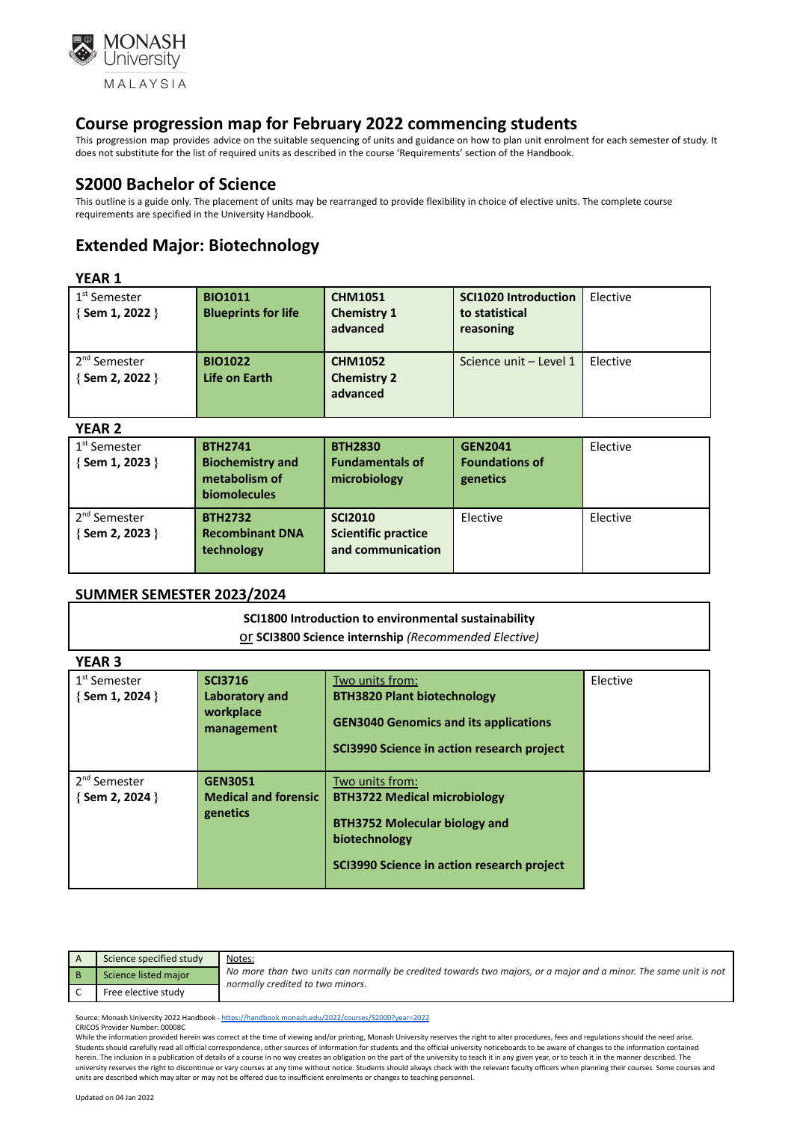

This progression map provides advice on the suitable sequencing of units and guidance on how to plan unit enrolment for each semester of study. It does not substitute for the list of required units as described in the course 'Requirements' section of the Handbook.

### **S2000 Bachelor of Science**

This outline is a guide only. The placement of units may be rearranged to provide flexibility in choice of elective units. The complete course requirements are specified in the University Handbook.

# **Extended Major: Biotechnology**

#### **YEAR 1**

| 1 <sup>st</sup> Semester<br>$\{$ Sem 1, 2022 $\}$ | <b>BIO1011</b><br><b>Blueprints for life</b> | <b>CHM1051</b><br><b>Chemistry 1</b><br>advanced | <b>SCI1020 Introduction</b><br>to statistical<br>reasoning | Elective |
|---------------------------------------------------|----------------------------------------------|--------------------------------------------------|------------------------------------------------------------|----------|
| 2 <sup>nd</sup> Semester<br>{Sem 2, 2022 }        | <b>BIO1022</b><br>Life on Earth              | <b>CHM1052</b><br><b>Chemistry 2</b><br>advanced | Science unit - Level 1                                     | Elective |

#### **YEAR 2**

| .                                                 |                                                            |                                          |                                         |          |
|---------------------------------------------------|------------------------------------------------------------|------------------------------------------|-----------------------------------------|----------|
| 1 <sup>st</sup> Semester<br>$\{$ Sem 1, 2023 $\}$ | <b>BTH2741</b><br><b>Biochemistry and</b><br>metabolism of | <b>BTH2830</b><br><b>Fundamentals of</b> | <b>GEN2041</b><br><b>Foundations of</b> | Elective |
|                                                   |                                                            | microbiology                             | genetics                                |          |
|                                                   | biomolecules                                               |                                          |                                         |          |
| 2 <sup>nd</sup> Semester                          | <b>BTH2732</b>                                             | <b>SCI2010</b>                           | Elective                                | Elective |
| {Sem 2, 2023 }                                    | <b>Recombinant DNA</b>                                     | <b>Scientific practice</b>               |                                         |          |
|                                                   | technology                                                 | and communication                        |                                         |          |
|                                                   |                                                            |                                          |                                         |          |
|                                                   |                                                            |                                          |                                         |          |

#### **SUMMER SEMESTER 2023/2024**

|                          | SCI1800 Introduction to environmental sustainability |
|--------------------------|------------------------------------------------------|
|                          | Or SCI3800 Science internship (Recommended Elective) |
| <b>VEAD</b> <sub>2</sub> |                                                      |

| I EAN J                  |                             |                                              |          |
|--------------------------|-----------------------------|----------------------------------------------|----------|
| 1 <sup>st</sup> Semester | <b>SCI3716</b>              | Two units from:                              | Elective |
| $\{$ Sem 1, 2024 $\}$    | Laboratory and              | <b>BTH3820 Plant biotechnology</b>           |          |
|                          | workplace<br>management     | <b>GEN3040 Genomics and its applications</b> |          |
|                          |                             | SCI3990 Science in action research project   |          |
| 2 <sup>nd</sup> Semester | <b>GEN3051</b>              | Two units from:                              |          |
| { Sem 2, 2024 }          | <b>Medical and forensic</b> | <b>BTH3722 Medical microbiology</b>          |          |
|                          | genetics                    |                                              |          |
|                          |                             | <b>BTH3752 Molecular biology and</b>         |          |
|                          |                             | biotechnology                                |          |
|                          |                             | SCI3990 Science in action research project   |          |
|                          |                             |                                              |          |

| Science specified study | Notes:                                                                                                                                               |
|-------------------------|------------------------------------------------------------------------------------------------------------------------------------------------------|
| Science listed major    | No more than two units can normally be credited towards two majors, or a major and a minor. The same unit is not<br>normally credited to two minors. |
| Free elective study     |                                                                                                                                                      |

Source: Monash University 2022 Handbook - <https://handbook.monash.edu/2022/courses/S2000?year=2022> CRICOS Provider Number: 00008C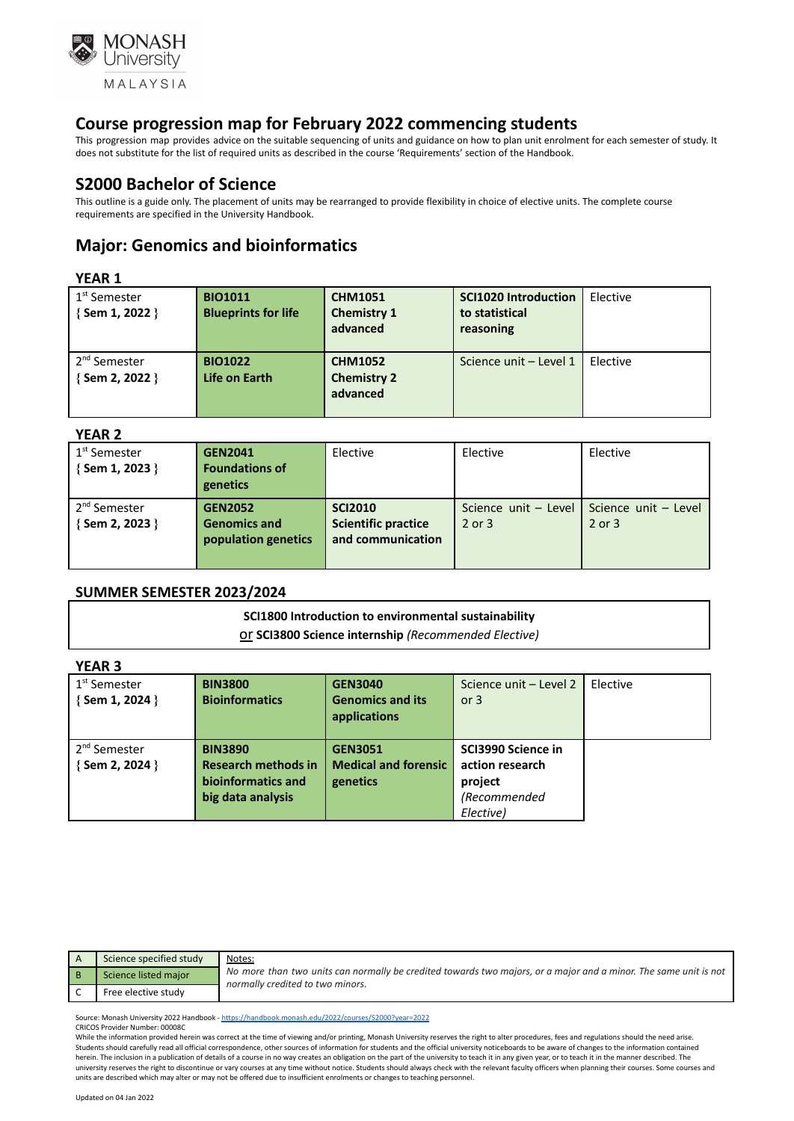

This progression map provides advice on the suitable sequencing of units and guidance on how to plan unit enrolment for each semester of study. It does not substitute for the list of required units as described in the course 'Requirements' section of the Handbook.

### **S2000 Bachelor of Science**

This outline is a guide only. The placement of units may be rearranged to provide flexibility in choice of elective units. The complete course requirements are specified in the University Handbook.

# **Major: Genomics and bioinformatics**

#### **YEAR 1**

| 1 <sup>st</sup> Semester<br>{Sem 1, 2022 }  | <b>BIO1011</b><br><b>Blueprints for life</b> | <b>CHM1051</b><br><b>Chemistry 1</b><br>advanced | <b>SCI1020 Introduction</b><br>to statistical<br>reasoning | Elective |
|---------------------------------------------|----------------------------------------------|--------------------------------------------------|------------------------------------------------------------|----------|
| 2 <sup>nd</sup> Semester<br>{ Sem 2, 2022 } | <b>BIO1022</b><br>Life on Earth              | <b>CHM1052</b><br><b>Chemistry 2</b><br>advanced | Science unit - Level 1                                     | Elective |

#### **YEAR 2**

| .                                                 |                                                              |                                                                   |                                    |                                    |
|---------------------------------------------------|--------------------------------------------------------------|-------------------------------------------------------------------|------------------------------------|------------------------------------|
| 1 <sup>st</sup> Semester<br>$\{$ Sem 1, 2023 $\}$ | <b>GEN2041</b><br><b>Foundations of</b><br>genetics          | Elective                                                          | Elective                           | Elective                           |
| . 2 <sup>nd</sup> Semester<br>{Sem 2, 2023 }      | <b>GEN2052</b><br><b>Genomics and</b><br>population genetics | <b>SCI2010</b><br><b>Scientific practice</b><br>and communication | Science unit - Level<br>$2$ or $3$ | Science unit - Level<br>$2$ or $3$ |

#### **SUMMER SEMESTER 2023/2024**

# **SCI1800 Introduction to environmental sustainability** or **SCI3800 Science internship** *(Recommended Elective)*

| <b>YEAR 3</b>            |                            |                             |                        |          |
|--------------------------|----------------------------|-----------------------------|------------------------|----------|
| 1 <sup>st</sup> Semester | <b>BIN3800</b>             | <b>GEN3040</b>              | Science unit - Level 2 | Elective |
| {Sem 1, 2024 }           | <b>Bioinformatics</b>      | <b>Genomics and its</b>     | or $3$                 |          |
|                          |                            | applications                |                        |          |
|                          |                            |                             |                        |          |
| 2 <sup>nd</sup> Semester | <b>BIN3890</b>             | <b>GEN3051</b>              | SCI3990 Science in     |          |
| { Sem 2, 2024 }          | <b>Research methods in</b> | <b>Medical and forensic</b> | action research        |          |
|                          | bioinformatics and         | genetics                    | project                |          |
|                          | big data analysis          |                             | (Recommended           |          |
|                          |                            |                             | Elective)              |          |

| Science specified study | Notes:                                                                                                                                               |
|-------------------------|------------------------------------------------------------------------------------------------------------------------------------------------------|
| Science listed major    | No more than two units can normally be credited towards two majors, or a major and a minor. The same unit is not<br>normally credited to two minors. |
| Free elective study     |                                                                                                                                                      |

Source: Monash University 2022 Handbook - <https://handbook.monash.edu/2022/courses/S2000?year=2022> CRICOS Provider Number: 00008C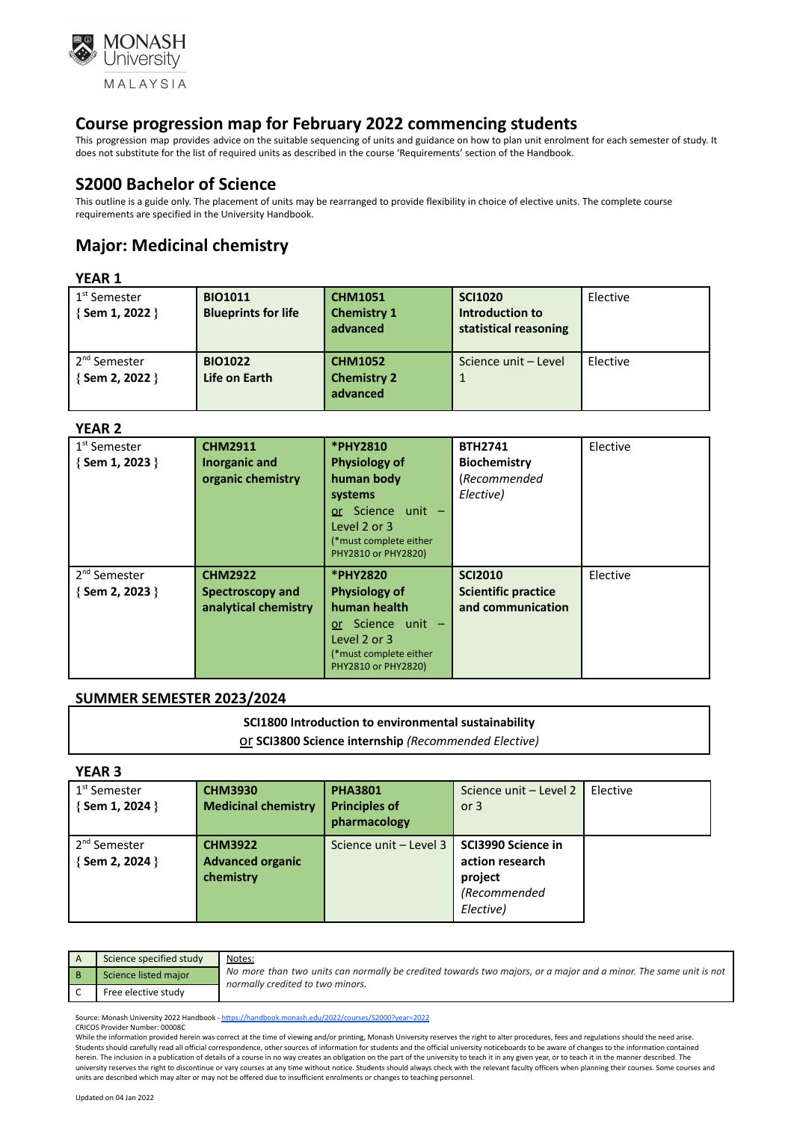

This progression map provides advice on the suitable sequencing of units and guidance on how to plan unit enrolment for each semester of study. It does not substitute for the list of required units as described in the course 'Requirements' section of the Handbook.

### **S2000 Bachelor of Science**

This outline is a guide only. The placement of units may be rearranged to provide flexibility in choice of elective units. The complete course requirements are specified in the University Handbook.

# **Major: Medicinal chemistry**

#### **YEAR 1**

| 1 <sup>st</sup> Semester<br>$\{$ Sem 1, 2022 $\}$ | <b>BIO1011</b><br><b>Blueprints for life</b> | <b>CHM1051</b><br><b>Chemistry 1</b><br>advanced | <b>SCI1020</b><br>Introduction to<br>statistical reasoning | Elective |
|---------------------------------------------------|----------------------------------------------|--------------------------------------------------|------------------------------------------------------------|----------|
| 2 <sup>nd</sup> Semester<br>{Sem 2, 2022 }        | <b>BIO1022</b><br>Life on Earth              | <b>CHM1052</b><br><b>Chemistry 2</b><br>advanced | Science unit - Level                                       | Elective |

#### **YEAR 2**

| .                        |                      |                        |                            |          |
|--------------------------|----------------------|------------------------|----------------------------|----------|
| 1 <sup>st</sup> Semester | <b>CHM2911</b>       | *PHY2810               | <b>BTH2741</b>             | Elective |
| {Sem 1, 2023 }           | <b>Inorganic and</b> | <b>Physiology of</b>   | <b>Biochemistry</b>        |          |
|                          | organic chemistry    | human body             | (Recommended               |          |
|                          |                      | systems                | Elective)                  |          |
|                          |                      | or Science unit -      |                            |          |
|                          |                      | Level 2 or 3           |                            |          |
|                          |                      | (*must complete either |                            |          |
|                          |                      | PHY2810 or PHY2820)    |                            |          |
| 2 <sup>nd</sup> Semester | <b>CHM2922</b>       | *PHY2820               | <b>SCI2010</b>             | Elective |
| {Sem 2, 2023 }           | Spectroscopy and     | <b>Physiology of</b>   | <b>Scientific practice</b> |          |
|                          | analytical chemistry | human health           | and communication          |          |
|                          |                      | or Science unit -      |                            |          |
|                          |                      | Level 2 or 3           |                            |          |
|                          |                      | (*must complete either |                            |          |
|                          |                      | PHY2810 or PHY2820)    |                            |          |

### **SUMMER SEMESTER 2023/2024**

#### **SCI1800 Introduction to environmental sustainability**

or **SCI3800 Science internship** *(Recommended Elective)*

#### **YEAR 3**

| 1 <sup>st</sup> Semester | <b>CHM3930</b>             | <b>PHA3801</b>                              | Science unit - Level 2 | Elective |
|--------------------------|----------------------------|---------------------------------------------|------------------------|----------|
| $\{$ Sem 1, 2024 $\}$    | <b>Medicinal chemistry</b> | <b>Principles of</b>                        | or $3$                 |          |
|                          |                            | pharmacology                                |                        |          |
| 2 <sup>nd</sup> Semester | <b>CHM3922</b>             | Science unit - Level 3   SCI3990 Science in |                        |          |
| {Sem 2, 2024 }           | <b>Advanced organic</b>    |                                             | action research        |          |
|                          | chemistry                  |                                             | project                |          |
|                          |                            |                                             | (Recommended           |          |
|                          |                            |                                             | Elective)              |          |
|                          |                            |                                             |                        |          |

| Science specified study | Notes:                                                                                                                                               |
|-------------------------|------------------------------------------------------------------------------------------------------------------------------------------------------|
| Science listed major    | No more than two units can normally be credited towards two majors, or a major and a minor. The same unit is not<br>normally credited to two minors. |
| Free elective study     |                                                                                                                                                      |

Source: Monash University 2022 Handbook - <https://handbook.monash.edu/2022/courses/S2000?year=2022> CRICOS Provider Number: 00008C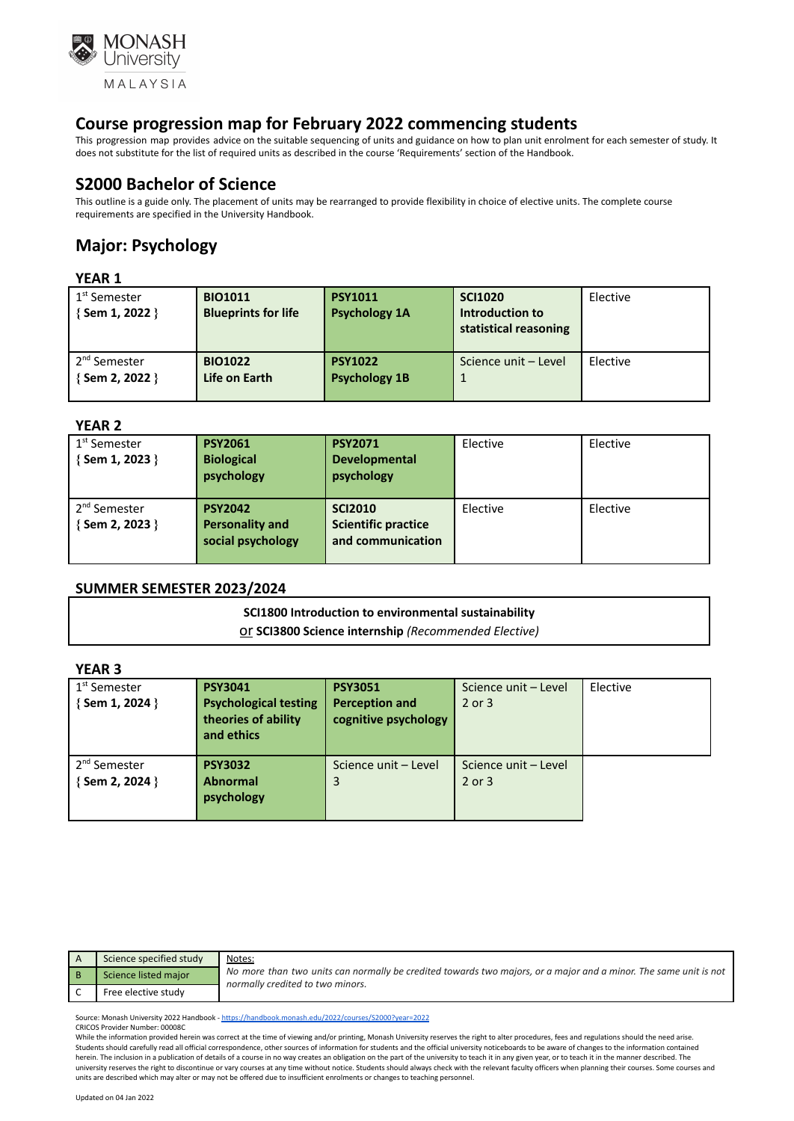

This progression map provides advice on the suitable sequencing of units and guidance on how to plan unit enrolment for each semester of study. It does not substitute for the list of required units as described in the course 'Requirements' section of the Handbook.

## **S2000 Bachelor of Science**

This outline is a guide only. The placement of units may be rearranged to provide flexibility in choice of elective units. The complete course requirements are specified in the University Handbook.

# **Major: Psychology**

#### **YEAR 1**

| 1 <sup>st</sup> Semester<br>{Sem 1, 2022 } | <b>BIO1011</b><br><b>Blueprints for life</b> | <b>PSY1011</b><br><b>Psychology 1A</b> | <b>SCI1020</b><br>Introduction to<br>statistical reasoning | Elective |
|--------------------------------------------|----------------------------------------------|----------------------------------------|------------------------------------------------------------|----------|
| 2 <sup>nd</sup> Semester<br>{Sem 2, 2022 } | <b>BIO1022</b><br>Life on Earth              | <b>PSY1022</b><br><b>Psychology 1B</b> | Science unit - Level                                       | Elective |

#### **YEAR 2**

| 1 <sup>st</sup> Semester<br>{Sem 1, 2023 }  | <b>PSY2061</b><br><b>Biological</b><br>psychology             | <b>PSY2071</b><br><b>Developmental</b><br>psychology              | Elective | Elective |
|---------------------------------------------|---------------------------------------------------------------|-------------------------------------------------------------------|----------|----------|
| 2 <sup>nd</sup> Semester<br>{ Sem 2, 2023 } | <b>PSY2042</b><br><b>Personality and</b><br>social psychology | <b>SCI2010</b><br><b>Scientific practice</b><br>and communication | Elective | Elective |

#### **SUMMER SEMESTER 2023/2024**

#### **SCI1800 Introduction to environmental sustainability** or **SCI3800 Science internship** *(Recommended Elective)*

#### **YEAR 3**

| 1 <sup>st</sup> Semester<br>{Sem 1, 2024 }  | <b>PSY3041</b><br><b>Psychological testing</b><br>theories of ability<br>and ethics | <b>PSY3051</b><br><b>Perception and</b><br>cognitive psychology | Science unit - Level<br>2 or 3 | Elective |
|---------------------------------------------|-------------------------------------------------------------------------------------|-----------------------------------------------------------------|--------------------------------|----------|
| 2 <sup>nd</sup> Semester<br>{ Sem 2, 2024 } | <b>PSY3032</b><br><b>Abnormal</b><br>psychology                                     | Science unit - Level<br>3                                       | Science unit - Level<br>2 or 3 |          |

| Science specified study | Notes:                                                                                                                                               |
|-------------------------|------------------------------------------------------------------------------------------------------------------------------------------------------|
| Science listed major    | No more than two units can normally be credited towards two majors, or a major and a minor. The same unit is not<br>normally credited to two minors. |
| Free elective study     |                                                                                                                                                      |

Source: Monash University 2022 Handbook - <https://handbook.monash.edu/2022/courses/S2000?year=2022> CRICOS Provider Number: 00008C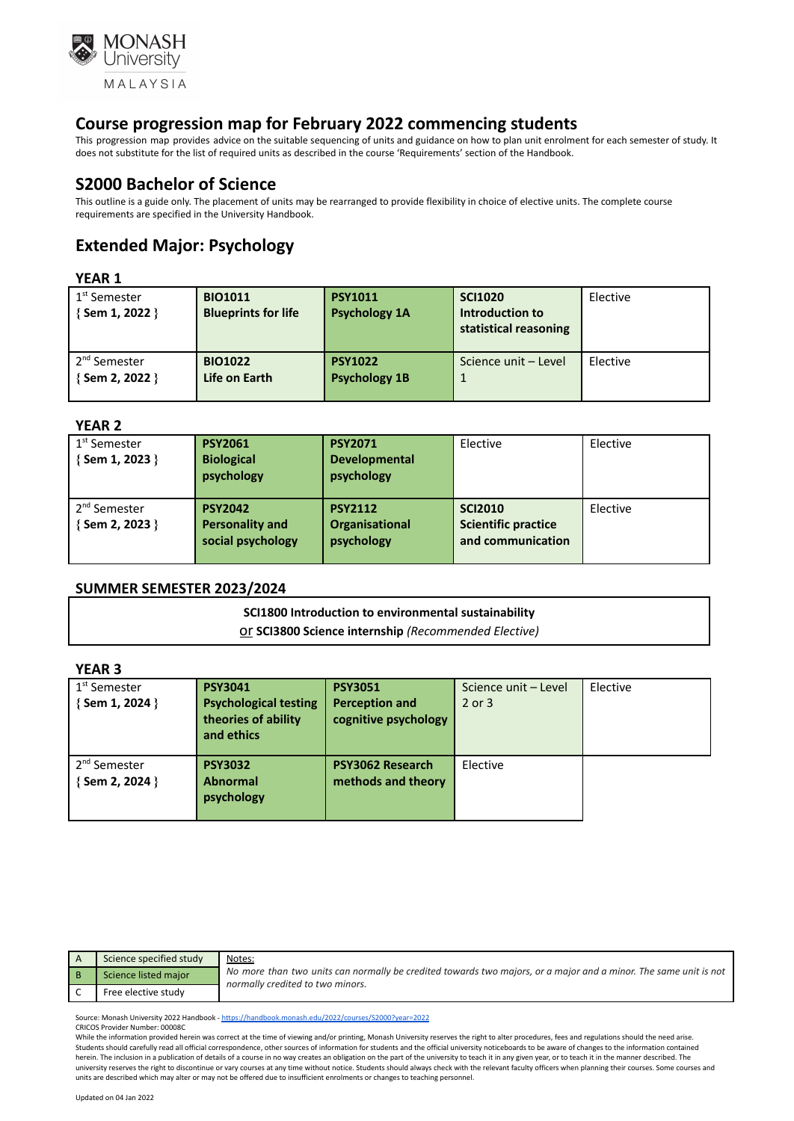

This progression map provides advice on the suitable sequencing of units and guidance on how to plan unit enrolment for each semester of study. It does not substitute for the list of required units as described in the course 'Requirements' section of the Handbook.

## **S2000 Bachelor of Science**

This outline is a guide only. The placement of units may be rearranged to provide flexibility in choice of elective units. The complete course requirements are specified in the University Handbook.

# **Extended Major: Psychology**

#### **YEAR 1**

| 1 <sup>st</sup> Semester<br>{Sem 1, 2022 } | <b>BIO1011</b><br><b>Blueprints for life</b> | <b>PSY1011</b><br><b>Psychology 1A</b> | <b>SCI1020</b><br>Introduction to<br>statistical reasoning | Elective |
|--------------------------------------------|----------------------------------------------|----------------------------------------|------------------------------------------------------------|----------|
| 2 <sup>nd</sup> Semester<br>{Sem 2, 2022 } | <b>BIO1022</b><br>Life on Earth              | <b>PSY1022</b><br><b>Psychology 1B</b> | Science unit - Level                                       | Elective |

#### **YEAR 2**

| 1 <sup>st</sup> Semester<br>{ Sem 1, 2023 } | <b>PSY2061</b><br><b>Biological</b><br>psychology             | <b>PSY2071</b><br><b>Developmental</b><br>psychology | Elective                                                          | Elective |
|---------------------------------------------|---------------------------------------------------------------|------------------------------------------------------|-------------------------------------------------------------------|----------|
| 2 <sup>nd</sup> Semester<br>{ Sem 2, 2023 } | <b>PSY2042</b><br><b>Personality and</b><br>social psychology | <b>PSY2112</b><br>Organisational<br>psychology       | <b>SCI2010</b><br><b>Scientific practice</b><br>and communication | Elective |

#### **SUMMER SEMESTER 2023/2024**

# **SCI1800 Introduction to environmental sustainability** or **SCI3800 Science internship** *(Recommended Elective)*

#### **YEAR 3**

| 1 <sup>st</sup> Semester<br>{Sem 1, 2024 }  | <b>PSY3041</b><br><b>Psychological testing</b><br>theories of ability<br>and ethics | <b>PSY3051</b><br><b>Perception and</b><br>cognitive psychology | Science unit - Level<br>$2$ or $3$ | Elective |
|---------------------------------------------|-------------------------------------------------------------------------------------|-----------------------------------------------------------------|------------------------------------|----------|
| 2 <sup>nd</sup> Semester<br>{ Sem 2, 2024 } | <b>PSY3032</b><br><b>Abnormal</b><br>psychology                                     | <b>PSY3062 Research</b><br>methods and theory                   | Elective                           |          |

| Science specified study | Notes:                                                                                                                                               |
|-------------------------|------------------------------------------------------------------------------------------------------------------------------------------------------|
| Science listed major    | No more than two units can normally be credited towards two majors, or a major and a minor. The same unit is not<br>normally credited to two minors. |
| Free elective study     |                                                                                                                                                      |

Source: Monash University 2022 Handbook - <https://handbook.monash.edu/2022/courses/S2000?year=2022> CRICOS Provider Number: 00008C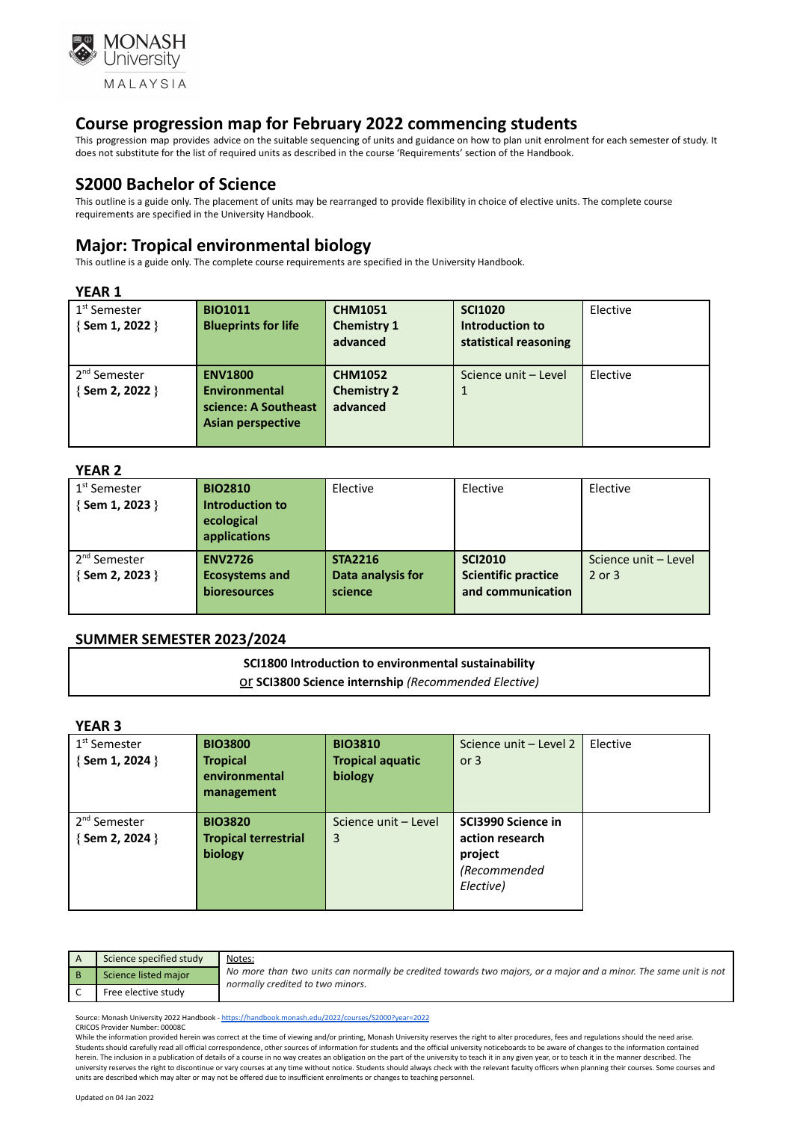

This progression map provides advice on the suitable sequencing of units and guidance on how to plan unit enrolment for each semester of study. It does not substitute for the list of required units as described in the course 'Requirements' section of the Handbook.

## **S2000 Bachelor of Science**

This outline is a guide only. The placement of units may be rearranged to provide flexibility in choice of elective units. The complete course requirements are specified in the University Handbook.

# **Major: Tropical environmental biology**

This outline is a guide only. The complete course requirements are specified in the University Handbook.

#### **YEAR 1**

| .                                           |                                                                                     |                                                  |                                                            |          |
|---------------------------------------------|-------------------------------------------------------------------------------------|--------------------------------------------------|------------------------------------------------------------|----------|
| 1 <sup>st</sup> Semester<br>{Sem 1, 2022 }  | <b>BIO1011</b><br><b>Blueprints for life</b>                                        | <b>CHM1051</b><br><b>Chemistry 1</b><br>advanced | <b>SCI1020</b><br>Introduction to<br>statistical reasoning | Elective |
| 2 <sup>nd</sup> Semester<br>{ Sem 2, 2022 } | <b>ENV1800</b><br><b>Environmental</b><br>science: A Southeast<br>Asian perspective | <b>CHM1052</b><br><b>Chemistry 2</b><br>advanced | Science unit - Level                                       | Elective |

#### **YEAR 2**

| 1 <sup>st</sup> Semester<br>$\{$ Sem 1, 2023 $\}$ | <b>BIO2810</b><br>Introduction to<br>ecological<br>applications | Elective                                       | Elective                                                          | Elective                           |
|---------------------------------------------------|-----------------------------------------------------------------|------------------------------------------------|-------------------------------------------------------------------|------------------------------------|
| 2 <sup>nd</sup> Semester<br>{Sem 2, 2023 }        | <b>ENV2726</b><br><b>Ecosystems and</b><br>bioresources         | <b>STA2216</b><br>Data analysis for<br>science | <b>SCI2010</b><br><b>Scientific practice</b><br>and communication | Science unit - Level<br>$2$ or $3$ |

#### **SUMMER SEMESTER 2023/2024**

**SCI1800 Introduction to environmental sustainability** or **SCI3800 Science internship** *(Recommended Elective)*

#### **YEAR 3**

| .                        |                             |                         |                        |          |
|--------------------------|-----------------------------|-------------------------|------------------------|----------|
| 1 <sup>st</sup> Semester | <b>BIO3800</b>              | <b>BIO3810</b>          | Science unit - Level 2 | Elective |
| {Sem 1, 2024 }           | <b>Tropical</b>             | <b>Tropical aquatic</b> | or $3$                 |          |
|                          | environmental               | biology                 |                        |          |
|                          | management                  |                         |                        |          |
|                          |                             |                         |                        |          |
| 2 <sup>nd</sup> Semester | <b>BIO3820</b>              | Science unit - Level    | SCI3990 Science in     |          |
| { Sem 2, 2024 }          | <b>Tropical terrestrial</b> | 3                       | action research        |          |
|                          | biology                     |                         | project                |          |
|                          |                             |                         | (Recommended           |          |
|                          |                             |                         | Elective)              |          |
|                          |                             |                         |                        |          |

| Science specified study | Notes:                                                                                                                                               |
|-------------------------|------------------------------------------------------------------------------------------------------------------------------------------------------|
| Science listed major    | No more than two units can normally be credited towards two majors, or a major and a minor. The same unit is not<br>normally credited to two minors. |
| Free elective study     |                                                                                                                                                      |

Source: Monash University 2022 Handbook - <https://handbook.monash.edu/2022/courses/S2000?year=2022> CRICOS Provider Number: 00008C